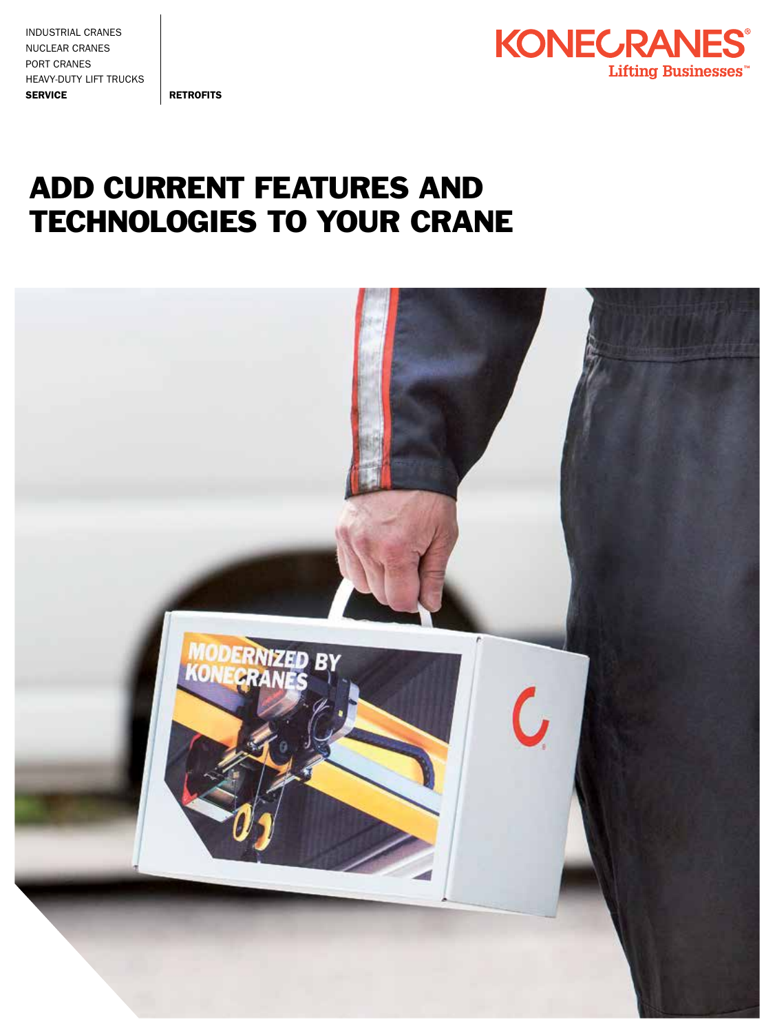INDUSTRIAL CRANES NUCLEAR CRANES PORT CRANES HEAVY-DUTY LIFT TRUCKS SERVICE RETROFITS



## ADD CURRENT FEATURES AND TECHNOLOGIES TO YOUR CRANE

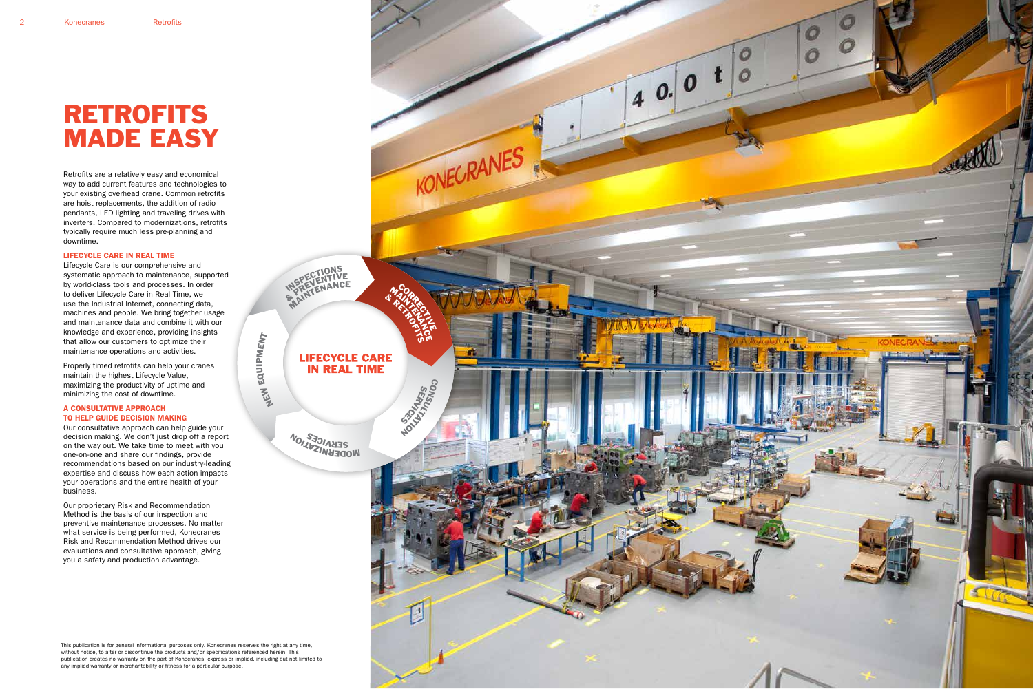Retrofits are a relatively easy and economical way to add current features and technologies to your existing overhead crane. Common retrofits are hoist replacements, the addition of radio pendants, LED lighting and traveling drives with inverters. Compared to modernizations, retrofits typically require much less pre-planning and downtime.

#### LIFECYCLE CARE IN REAL TIME

Lifecycle Care is our comprehensive and systematic approach to maintenance, supported by world-class tools and processes. In order to deliver Lifecycle Care in Real Time, we use the Industrial Internet, connecting data, machines and people. We bring together usage and maintenance data and combine it with our knowledge and experience, providing insights that allow our customers to optimize their maintenance operations and activities.

Properly timed retrofits can help your cranes maintain the highest Lifecycle Value, maximizing the productivity of uptime and minimizing the cost of downtime.

#### A CONSULTATIVE APPROACH TO HELP GUIDE DECISION MAKING

 $\frac{1}{2}$ e<br>J M ENT

Our consultative approach can help guide your decision making. We don't just drop off a report on the way out. We take time to meet with you one-on-one and share our findings, provide recommendations based on our industry-leading expertise and discuss how each action impacts your operations and the entire health of your business.

Our proprietary Risk and Recommendation Method is the basis of our inspection and preventive maintenance processes. No matter what service is being performed, Konecranes Risk and Recommendation Method drives our evaluations and consultative approach, giving you a safety and production advantage.

## RETROFITS MADE EASY

This publication is for general informational purposes only. Konecranes reserves the right at any time, without notice, to alter or discontinue the products and/or specifications referenced herein. This publication creates no warranty on the part of Konecranes, express or implied, including but not limited to any implied warranty or merchantability or fitness for a particular purpose.

 $z$ 

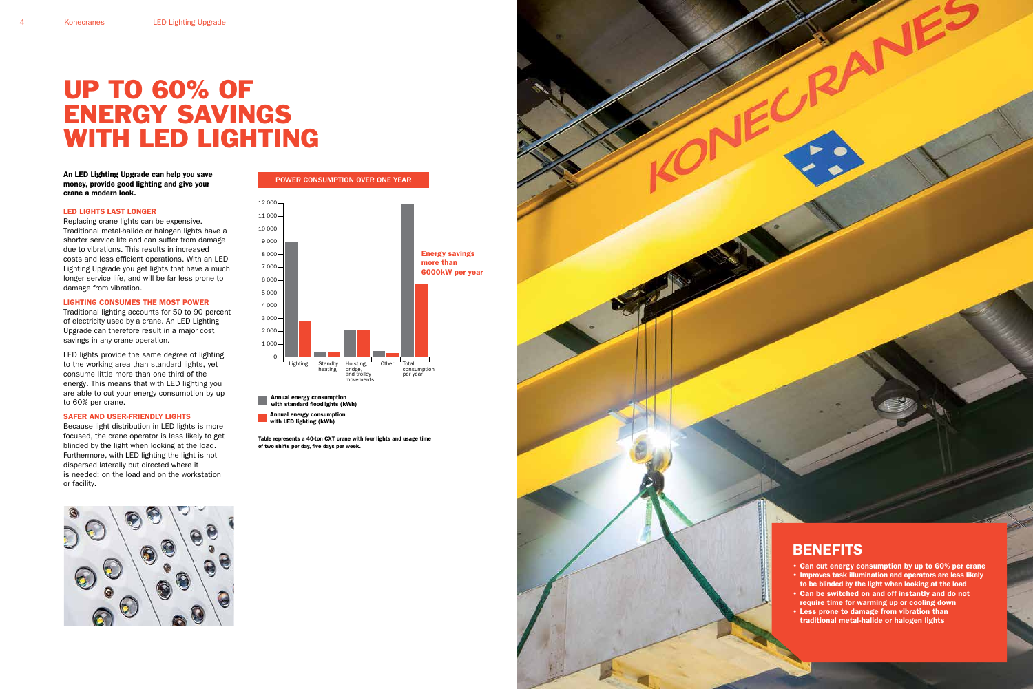An LED Lighting Upgrade can help you save money, provide good lighting and give your crane a modern look.

#### LED LIGHTS LAST LONGER

Replacing crane lights can be expensive. Traditional metal-halide or halogen lights have a shorter service life and can suffer from damage due to vibrations. This results in increased costs and less efficient operations. With an LED Lighting Upgrade you get lights that have a much longer service life, and will be far less prone to damage from vibration.

#### LIGHTING CONSUMES THE MOST POWER

Traditional lighting accounts for 50 to 90 percent of electricity used by a crane. An LED Lighting Upgrade can therefore result in a major cost savings in any crane operation.

LED lights provide the same degree of lighting to the working area than standard lights, yet consume little more than one third of the energy. This means that with LED lighting you are able to cut your energy consumption by up to 60% per crane.

#### SAFER AND USER-FRIENDLY LIGHTS

Because light distribution in LED lights is more focused, the crane operator is less likely to get blinded by the light when looking at the load. Furthermore, with LED lighting the light is not dispersed laterally but directed where it is needed: on the load and on the workstation or facility.



## UP TO 60% OF ENERGY SAVINGS WITH LED LIGHTING

- Can cut energy consumption by up to 60% per crane • Improves task illumination and operators are less likely
- to be blinded by the light when looking at the load • Can be switched on and off instantly and do not
- require time for warming up or cooling down • Less prone to damage from vibration than
- traditional metal-halide or halogen lights

Annual energy consumption

with standard floodlights (kWh) Annual energy consumption

with LED lighting (kWh)



### POWER CONSUMPTION OVER ONE YEAR

Table represents a 40-ton CXT crane with four lights and usage time of two shifts per day, five days per week.



### **BENEFITS**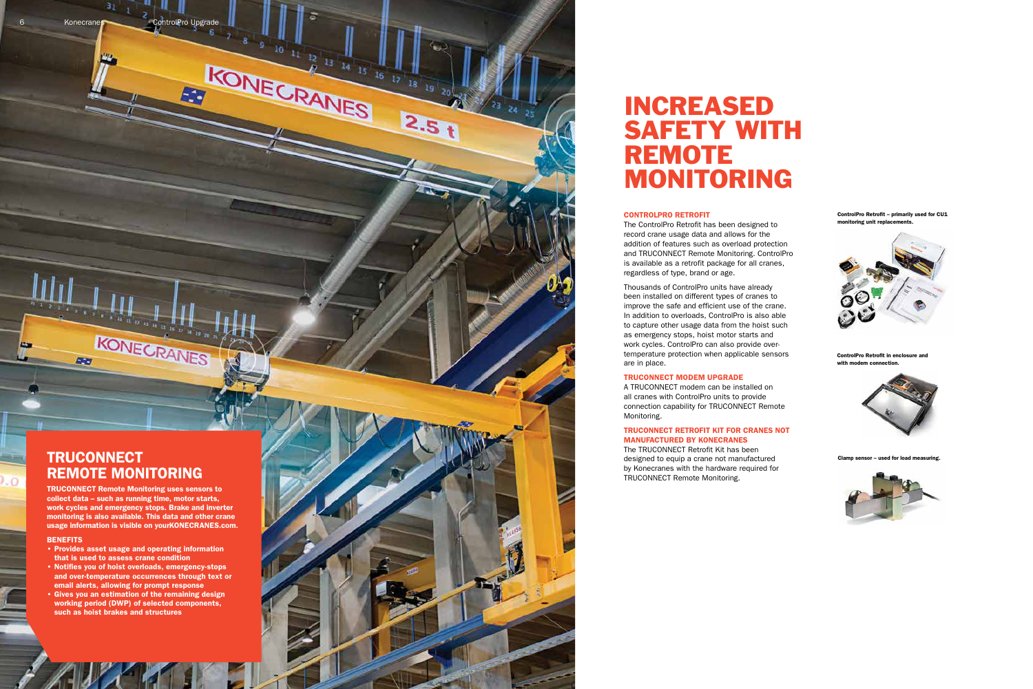6 Konecranes

31 1 2 ControlPro Upgrade

Ea

16

KONECRANES

 $\frac{12}{6}$  13 14 15 16

 $2.5<sub>1</sub>$ 

ControlPro Retrofit – primarily used for CU1 monitoring unit replacements.



ControlPro Retrofit in enclosure and with modem connection.



**Lused for load measuring** 



#### CONTROLPRO RETROFIT

The ControlPro Retrofit has been designed to record crane usage data and allows for the addition of features such as overload protection and TRUCONNECT Remote Monitoring. ControlPro is available as a retrofit package for all cranes, regardless of type, brand or age.

### **TRUCONNECT** REMOTE MONITORING

Thousands of ControlPro units have already been installed on different types of cranes to improve the safe and efficient use of the crane. In addition to overloads, ControlPro is also able to capture other usage data from the hoist such as emergency stops, hoist motor starts and work cycles. ControlPro can also provide overtemperature protection when applicable sensors are in place.

#### TRUCONNECT MODEM UPGRADE

A TRUCONNECT modem can be installed on all cranes with ControlPro units to provide connection capability for TRUCONNECT Remote Monitoring.

#### TRUCONNECT RETROFIT KIT FOR CRANES NOT MANUFACTURED BY KONECRANES

The TRUCONNECT Retrofit Kit has been designed to equip a crane not manufactured by Konecranes with the hardware required for TRUCONNECT Remote Monitoring.





## INCREASED SAFETY WITH REMOTE MONITORING

TRUCONNECT Remote Monitoring uses sensors to collect data – such as running time, motor starts, work cycles and emergency stops. Brake and inverter monitoring is also available. This data and other crane usage information is visible on yourKONECRANES.com.

KONECRANES

#### **BENEFITS**

 $\cdot$ O

**Diet** 

- Provides asset usage and operating information that is used to assess crane condition
- Notifies you of hoist overloads, emergency-stops and over-temperature occurrences through text or email alerts, allowing for prompt response
- Gives you an estimation of the remaining design working period (DWP) of selected components, such as hoist brakes and structures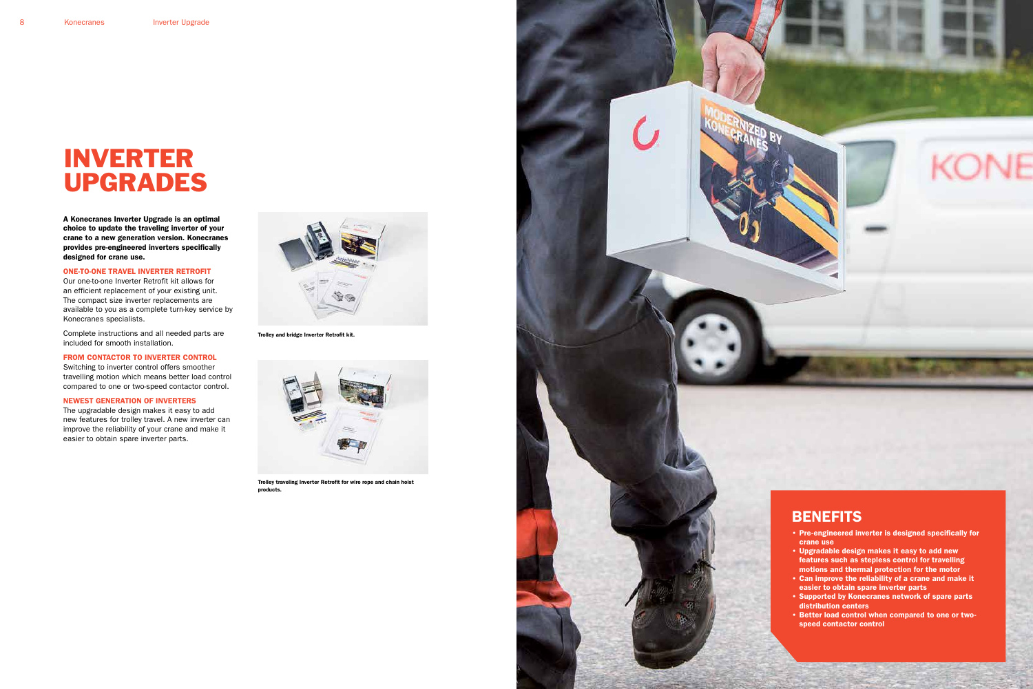A Konecranes Inverter Upgrade is an optimal choice to update the traveling inverter of your crane to a new generation version. Konecranes provides pre-engineered inverters specifically designed for crane use.

#### ONE-TO-ONE TRAVEL INVERTER RETROFIT

Our one-to-one Inverter Retrofit kit allows for an efficient replacement of your existing unit. The compact size inverter replacements are available to you as a complete turn-key service by Konecranes specialists.

Complete instructions and all needed parts are included for smooth installation.

#### FROM CONTACTOR TO INVERTER CONTROL

Switching to inverter control offers smoother travelling motion which means better load control compared to one or two-speed contactor control.

### NEWEST GENERATION OF INVERTERS

The upgradable design makes it easy to add new features for trolley travel. A new inverter can improve the reliability of your crane and make it easier to obtain spare inverter parts.

# INVERTER UPGRADES





Trolley traveling Inverter Retrofit for wire rope and chain hoist products.





- Pre-engineered inverter is designed specifically for crane use
- Upgradable design makes it easy to add new features such as stepless control for travelling motions and thermal protection for the motor
- Can improve the reliability of a crane and make it easier to obtain spare inverter parts
- Supported by Konecranes network of spare parts distribution centers
- Better load control when compared to one or twospeed contactor control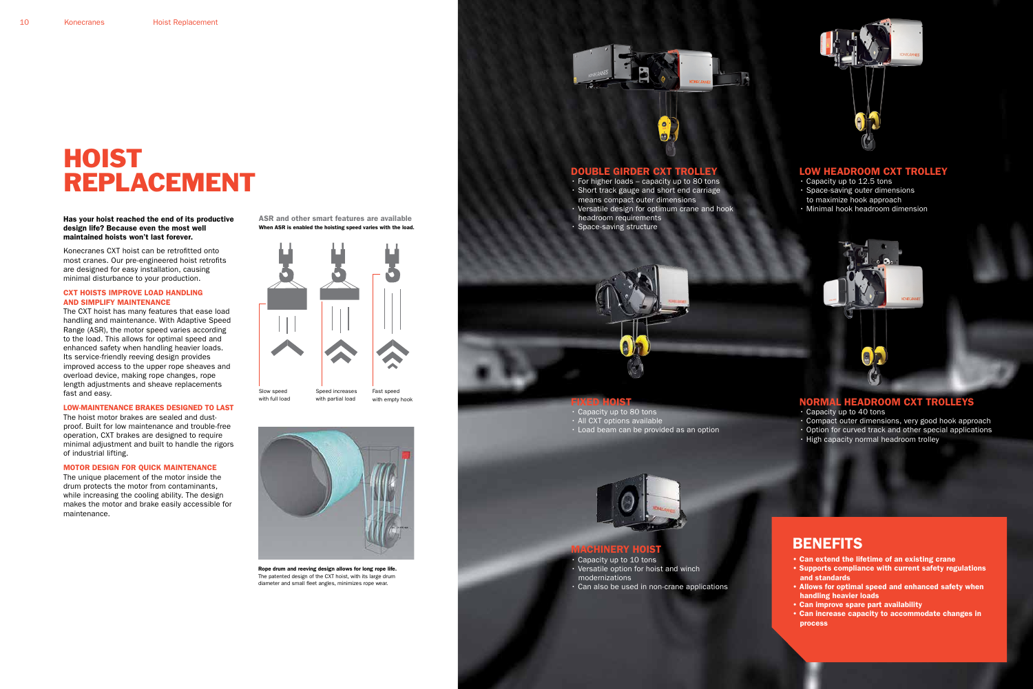Has your hoist reached the end of its productive design life? Because even the most well maintained hoists won't last forever.

Konecranes CXT hoist can be retrofitted onto most cranes. Our pre-engineered hoist retrofits are designed for easy installation, causing minimal disturbance to your production.

#### CXT HOISTS IMPROVE LOAD HANDLING AND SIMPLIFY MAINTENANCE

The CXT hoist has many features that ease load handling and maintenance. With Adaptive Speed Range (ASR), the motor speed varies according to the load. This allows for optimal speed and enhanced safety when handling heavier loads. Its service-friendly reeving design provides improved access to the upper rope sheaves and overload device, making rope changes, rope length adjustments and sheave replacements fast and easy.

#### LOW-MAINTENANCE BRAKES DESIGNED TO LAST

The hoist motor brakes are sealed and dustproof. Built for low maintenance and trouble-free operation, CXT brakes are designed to require minimal adjustment and built to handle the rigors of industrial lifting.

#### MOTOR DESIGN FOR QUICK MAINTENANCE

The unique placement of the motor inside the drum protects the motor from contaminants, while increasing the cooling ability. The design makes the motor and brake easily accessible for maintenance.

# HOIST REPLACEMENT



Rope drum and reeving design allows for long rope life. The patented design of the CXT hoist, with its large drum diameter and small fleet angles, minimizes rope wear.





#### LOW HEADROOM CXT TROLLEY

- Capacity up to 12.5 tons
- Space-saving outer dimensions
- to maximize hook approach
- Minimal hook headroom dimension

### NORMAL HEADROOM CXT TROLLEYS

- Capacity up to 40 tons
- Compact outer dimensions, very good hook approach
- Option for curved track and other special applications
- High capacity normal headroom trolley

### **BENEFITS**

#### DOUBLE GIRDER CXT TROLLEY

- For higher loads capacity up to 80 tons • Short track gauge and short end carriage
- means compact outer dimensions
- Versatile design for optimum crane and hook headroom requirements
- Space-saving structure



- Capacity up to 80 tons
- All CXT options available
- Load beam can be provided as an option



#### MACHINERY HOIST

- Capacity up to 10 tons • Versatile option for hoist and winch
- modernizations
- Can also be used in non-crane applications



- Can extend the lifetime of an existing crane
- Supports compliance with current safety regulations and standards
- Allows for optimal speed and enhanced safety when handling heavier loads
- Can improve spare part availability
- Can increase capacity to accommodate changes in process

When ASR is enabled the hoisting speed varies with the load. ASR and other smart features are available